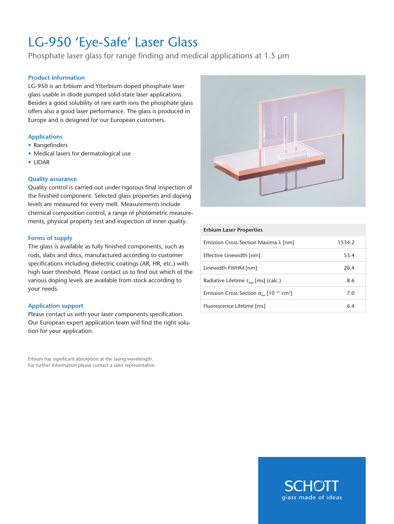# LG-950 'Eye-Safe' Laser Glass

Phosphate laser glass for range finding and medical applications at 1.5 µm

## **Product information**

LG-950 is an Erbium and Ytterbium doped phosphate laser glass usable in diode pumped solid-state laser applications. Besides a good solubility of rare earth ions the phosphate glass offers also a good laser performance. The glass is produced in Europe and is designed for our European customers.

## **Applications**

- Rangefinders
- Medical lasers for dermatological use
- LIDAR

### **Quality assurance**

Quality control is carried out under rigorous final inspection of the finished component. Selected glass properties and doping levels are measured for every melt. Measurements include chemical composition control, a range of photometric measurements, physical property test and inspection of inner quality.

### **Forms of supply**

The glass is available as fully finished components, such as rods, slabs and discs, manufactured according to customer specifications including dielectric coatings (AR, HR, etc.) with high laser threshold. Please contact us to find out which of the various doping levels are available from stock according to your needs.

### **Application support**

Please contact us with your laser components specification. Our European expert application team will find the right solution for your application.

Erbium has significant absorption at the lasing wavelength. For further information please contact a sales representative.



| <b>Erbium Laser Properties</b>                                                   |        |
|----------------------------------------------------------------------------------|--------|
| Emission Cross Section Maxima $\lambda$ [nm]                                     | 1534.2 |
| Effective Linewidth [nm]                                                         | 53.4   |
| Linewidth FWHM [nm]                                                              | 20.4   |
| Radiative Lifetime $\tau_{\text{ext}}$ [ms] (calc.)                              | 8.6    |
| Emission Cross Section $\sigma_{\text{em}}$ [10 <sup>-21</sup> cm <sup>2</sup> ] | 7.0    |
| Fluorescence Lifetime [ms]                                                       | 6.4    |